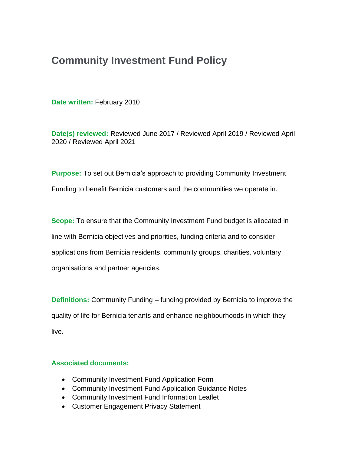# **Community Investment Fund Policy**

**Date written:** February 2010

**Date(s) reviewed:** Reviewed June 2017 / Reviewed April 2019 / Reviewed April 2020 / Reviewed April 2021

**Purpose:** To set out Bernicia's approach to providing Community Investment Funding to benefit Bernicia customers and the communities we operate in.

**Scope:** To ensure that the Community Investment Fund budget is allocated in line with Bernicia objectives and priorities, funding criteria and to consider applications from Bernicia residents, community groups, charities, voluntary organisations and partner agencies.

**Definitions:** Community Funding – funding provided by Bernicia to improve the quality of life for Bernicia tenants and enhance neighbourhoods in which they live.

## **Associated documents:**

- Community Investment Fund Application Form
- Community Investment Fund Application Guidance Notes
- Community Investment Fund Information Leaflet
- Customer Engagement Privacy Statement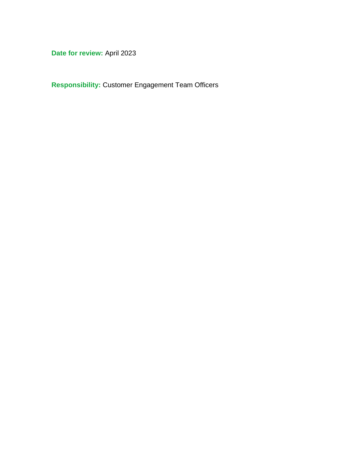**Date for review:** April 2023

**Responsibility:** Customer Engagement Team Officers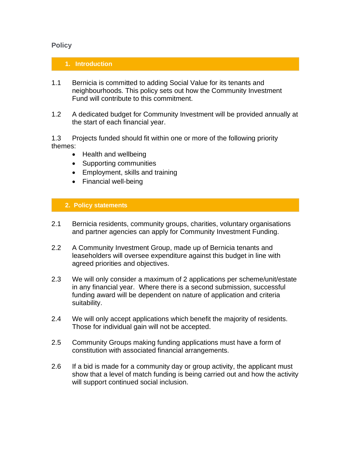## **Policy**

#### **1. Introduction**

- 1.1 Bernicia is committed to adding Social Value for its tenants and neighbourhoods. This policy sets out how the Community Investment Fund will contribute to this commitment.
- 1.2 A dedicated budget for Community Investment will be provided annually at the start of each financial year.

1.3 Projects funded should fit within one or more of the following priority themes:

- Health and wellbeing
- Supporting communities
- Employment, skills and training
- Financial well-being

## **2. Policy statements**

- 2.1 Bernicia residents, community groups, charities, voluntary organisations and partner agencies can apply for Community Investment Funding.
- 2.2 A Community Investment Group, made up of Bernicia tenants and leaseholders will oversee expenditure against this budget in line with agreed priorities and objectives.
- 2.3 We will only consider a maximum of 2 applications per scheme/unit/estate in any financial year. Where there is a second submission, successful funding award will be dependent on nature of application and criteria suitability.
- 2.4 We will only accept applications which benefit the majority of residents. Those for individual gain will not be accepted.
- 2.5 Community Groups making funding applications must have a form of constitution with associated financial arrangements.
- 2.6 If a bid is made for a community day or group activity, the applicant must show that a level of match funding is being carried out and how the activity will support continued social inclusion.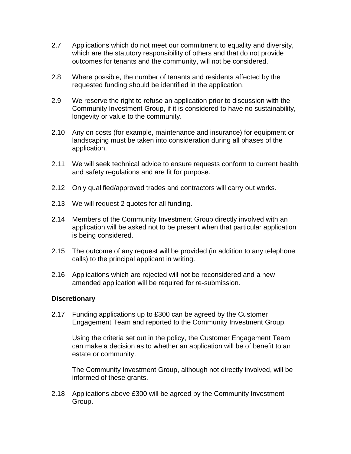- 2.7 Applications which do not meet our commitment to equality and diversity, which are the statutory responsibility of others and that do not provide outcomes for tenants and the community, will not be considered.
- 2.8 Where possible, the number of tenants and residents affected by the requested funding should be identified in the application.
- 2.9 We reserve the right to refuse an application prior to discussion with the Community Investment Group, if it is considered to have no sustainability, longevity or value to the community.
- 2.10 Any on costs (for example, maintenance and insurance) for equipment or landscaping must be taken into consideration during all phases of the application.
- 2.11 We will seek technical advice to ensure requests conform to current health and safety regulations and are fit for purpose.
- 2.12 Only qualified/approved trades and contractors will carry out works.
- 2.13 We will request 2 quotes for all funding.
- 2.14 Members of the Community Investment Group directly involved with an application will be asked not to be present when that particular application is being considered.
- 2.15 The outcome of any request will be provided (in addition to any telephone calls) to the principal applicant in writing.
- 2.16 Applications which are rejected will not be reconsidered and a new amended application will be required for re-submission.

#### **Discretionary**

2.17 Funding applications up to £300 can be agreed by the Customer Engagement Team and reported to the Community Investment Group.

Using the criteria set out in the policy, the Customer Engagement Team can make a decision as to whether an application will be of benefit to an estate or community.

The Community Investment Group, although not directly involved, will be informed of these grants.

2.18 Applications above £300 will be agreed by the Community Investment Group.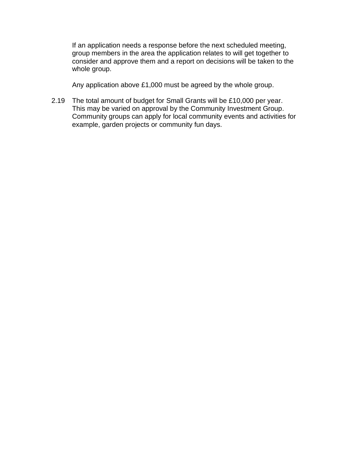If an application needs a response before the next scheduled meeting, group members in the area the application relates to will get together to consider and approve them and a report on decisions will be taken to the whole group.

Any application above £1,000 must be agreed by the whole group.

2.19 The total amount of budget for Small Grants will be £10,000 per year. This may be varied on approval by the Community Investment Group. Community groups can apply for local community events and activities for example, garden projects or community fun days.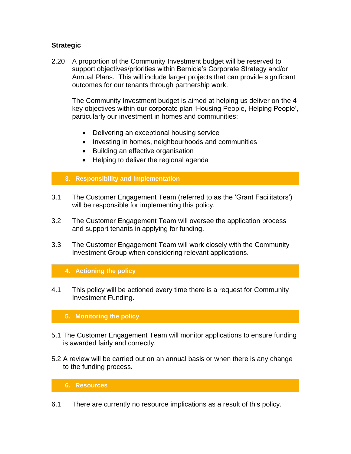# **Strategic**

2.20 A proportion of the Community Investment budget will be reserved to support objectives/priorities within Bernicia's Corporate Strategy and/or Annual Plans. This will include larger projects that can provide significant outcomes for our tenants through partnership work.

The Community Investment budget is aimed at helping us deliver on the 4 key objectives within our corporate plan 'Housing People, Helping People', particularly our investment in homes and communities:

- Delivering an exceptional housing service
- Investing in homes, neighbourhoods and communities
- Building an effective organisation
- Helping to deliver the regional agenda

#### **3. Responsibility and implementation**

- 3.1 The Customer Engagement Team (referred to as the 'Grant Facilitators') will be responsible for implementing this policy.
- 3.2 The Customer Engagement Team will oversee the application process and support tenants in applying for funding.
- 3.3 The Customer Engagement Team will work closely with the Community Investment Group when considering relevant applications.

## **4. Actioning the policy**

4.1 This policy will be actioned every time there is a request for Community Investment Funding.

#### **5. Monitoring the policy**

- 5.1 The Customer Engagement Team will monitor applications to ensure funding is awarded fairly and correctly.
- 5.2 A review will be carried out on an annual basis or when there is any change to the funding process.

#### **6. Resources**

6.1 There are currently no resource implications as a result of this policy.